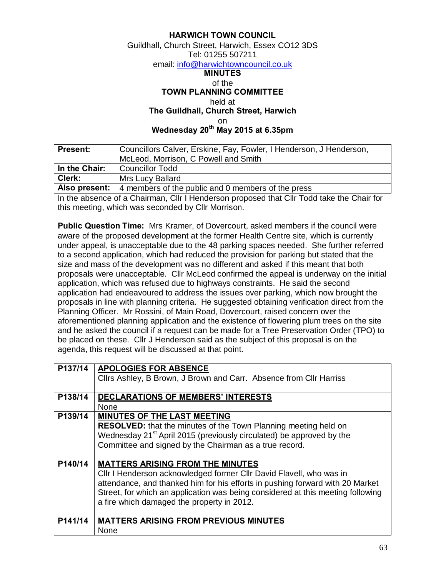## **HARWICH TOWN COUNCIL**

## Guildhall, Church Street, Harwich, Essex CO12 3DS Tel: 01255 507211 em[ail: info@harwichtowncouncil.co.uk](mailto:info@harwichtowncouncil.co.uk) **MINUTES** of the

## **TOWN PLANNING COMMITTEE**

held at

**The Guildhall, Church Street, Harwich**

on

**Wednesday 20th May 2015 at 6.35pm**

| <b>Present:</b> | Councillors Calver, Erskine, Fay, Fowler, I Henderson, J Henderson,      |  |  |
|-----------------|--------------------------------------------------------------------------|--|--|
|                 | McLeod, Morrison, C Powell and Smith                                     |  |  |
| In the Chair:   | <b>Councillor Todd</b>                                                   |  |  |
| Clerk:          | Mrs Lucy Ballard                                                         |  |  |
|                 | Also present: $\vert$ 4 members of the public and 0 members of the press |  |  |

In the absence of a Chairman, Cllr I Henderson proposed that Cllr Todd take the Chair for this meeting, which was seconded by Cllr Morrison.

**Public Question Time:** Mrs Kramer, of Dovercourt, asked members if the council were aware of the proposed development at the former Health Centre site, which is currently under appeal, is unacceptable due to the 48 parking spaces needed. She further referred to a second application, which had reduced the provision for parking but stated that the size and mass of the development was no different and asked if this meant that both proposals were unacceptable. Cllr McLeod confirmed the appeal is underway on the initial application, which was refused due to highways constraints. He said the second application had endeavoured to address the issues over parking, which now brought the proposals in line with planning criteria. He suggested obtaining verification direct from the Planning Officer. Mr Rossini, of Main Road, Dovercourt, raised concern over the aforementioned planning application and the existence of flowering plum trees on the site and he asked the council if a request can be made for a Tree Preservation Order (TPO) to be placed on these. Cllr J Henderson said as the subject of this proposal is on the agenda, this request will be discussed at that point.

| P137/14 | <b>APOLOGIES FOR ABSENCE</b>                                                     |
|---------|----------------------------------------------------------------------------------|
|         | Clirs Ashley, B Brown, J Brown and Carr. Absence from Clir Harriss               |
|         |                                                                                  |
|         |                                                                                  |
| P138/14 | <b>DECLARATIONS OF MEMBERS' INTERESTS</b>                                        |
|         | <b>None</b>                                                                      |
| P139/14 | <b>MINUTES OF THE LAST MEETING</b>                                               |
|         | <b>RESOLVED:</b> that the minutes of the Town Planning meeting held on           |
|         | Wednesday 21 <sup>st</sup> April 2015 (previously circulated) be approved by the |
|         |                                                                                  |
|         | Committee and signed by the Chairman as a true record.                           |
|         |                                                                                  |
| P140/14 | <b>MATTERS ARISING FROM THE MINUTES</b>                                          |
|         | Cllr I Henderson acknowledged former Cllr David Flavell, who was in              |
|         |                                                                                  |
|         | attendance, and thanked him for his efforts in pushing forward with 20 Market    |
|         | Street, for which an application was being considered at this meeting following  |
|         | a fire which damaged the property in 2012.                                       |
|         |                                                                                  |
|         |                                                                                  |
| P141/14 | <b>MATTERS ARISING FROM PREVIOUS MINUTES</b>                                     |
|         | None                                                                             |
|         |                                                                                  |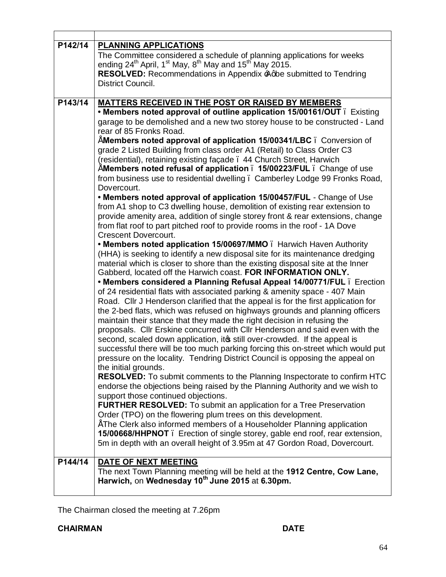| P142/14 | <b>PLANNING APPLICATIONS</b><br>The Committee considered a schedule of planning applications for weeks<br>ending 24 <sup>th</sup> April, 1 <sup>st</sup> May, 8 <sup>th</sup> May and 15 <sup>th</sup> May 2015.<br>RESOLVED: Recommendations in Appendix Agbe submitted to Tendring<br>District Council.                                                                                                                                                                                                                                                                                                                                                                                                                                                                                                                                                                                                                                                                                                                                                                                                                                                                                                                                                                                                                                                                                                                                                                                                                                                                                                                                                                                                                                                                                                                                                                                                                                                                                                                                                                                                                                                                                                                                                                                                                                                                                                                                                                                                                                                                                                                                                                 |
|---------|---------------------------------------------------------------------------------------------------------------------------------------------------------------------------------------------------------------------------------------------------------------------------------------------------------------------------------------------------------------------------------------------------------------------------------------------------------------------------------------------------------------------------------------------------------------------------------------------------------------------------------------------------------------------------------------------------------------------------------------------------------------------------------------------------------------------------------------------------------------------------------------------------------------------------------------------------------------------------------------------------------------------------------------------------------------------------------------------------------------------------------------------------------------------------------------------------------------------------------------------------------------------------------------------------------------------------------------------------------------------------------------------------------------------------------------------------------------------------------------------------------------------------------------------------------------------------------------------------------------------------------------------------------------------------------------------------------------------------------------------------------------------------------------------------------------------------------------------------------------------------------------------------------------------------------------------------------------------------------------------------------------------------------------------------------------------------------------------------------------------------------------------------------------------------------------------------------------------------------------------------------------------------------------------------------------------------------------------------------------------------------------------------------------------------------------------------------------------------------------------------------------------------------------------------------------------------------------------------------------------------------------------------------------------------|
| P143/14 | <b>MATTERS RECEIVED IN THE POST OR RAISED BY MEMBERS</b><br>• Members noted approval of outline application 15/00161/OUT . Existing<br>garage to be demolished and a new two storey house to be constructed - Land<br>rear of 85 Fronks Road.<br>"Members noted approval of application 15/00341/LBC. Conversion of<br>grade 2 Listed Building from class order A1 (Retail) to Class Order C3<br>(residential), retaining existing façade . 44 Church Street, Harwich<br>Members noted refusal of application . 15/00223/FUL . Change of use<br>from business use to residential dwelling. Camberley Lodge 99 Fronks Road,<br>Dovercourt.<br>. Members noted approval of application 15/00457/FUL - Change of Use<br>from A1 shop to C3 dwelling house, demolition of existing rear extension to<br>provide amenity area, addition of single storey front & rear extensions, change<br>from flat roof to part pitched roof to provide rooms in the roof - 1A Dove<br><b>Crescent Dovercourt.</b><br>• Members noted application 15/00697/MMO. Harwich Haven Authority<br>(HHA) is seeking to identify a new disposal site for its maintenance dredging<br>material which is closer to shore than the existing disposal site at the Inner<br>Gabberd, located off the Harwich coast. FOR INFORMATION ONLY.<br>• Members considered a Planning Refusal Appeal 14/00771/FUL . Erection<br>of 24 residential flats with associated parking & amenity space - 407 Main<br>Road. Cllr J Henderson clarified that the appeal is for the first application for<br>the 2-bed flats, which was refused on highways grounds and planning officers<br>maintain their stance that they made the right decision in refusing the<br>proposals. Cllr Erskine concurred with Cllr Henderson and said even with the<br>second, scaled down application, its still over-crowded. If the appeal is<br>successful there will be too much parking forcing this on-street which would put<br>pressure on the locality. Tendring District Council is opposing the appeal on<br>the initial grounds.<br><b>RESOLVED:</b> To submit comments to the Planning Inspectorate to confirm HTC<br>endorse the objections being raised by the Planning Authority and we wish to<br>support those continued objections.<br><b>FURTHER RESOLVED:</b> To submit an application for a Tree Preservation<br>Order (TPO) on the flowering plum trees on this development.<br>"The Clerk also informed members of a Householder Planning application<br>15/00668/HHPNOT. Erection of single storey, gable end roof, rear extension,<br>5m in depth with an overall height of 3.95m at 47 Gordon Road, Dovercourt. |
| P144/14 | DATE OF NEXT MEETING<br>The next Town Planning meeting will be held at the 1912 Centre, Cow Lane,<br>Harwich, on Wednesday 10 <sup>th</sup> June 2015 at 6.30pm.                                                                                                                                                                                                                                                                                                                                                                                                                                                                                                                                                                                                                                                                                                                                                                                                                                                                                                                                                                                                                                                                                                                                                                                                                                                                                                                                                                                                                                                                                                                                                                                                                                                                                                                                                                                                                                                                                                                                                                                                                                                                                                                                                                                                                                                                                                                                                                                                                                                                                                          |

The Chairman closed the meeting at 7.26pm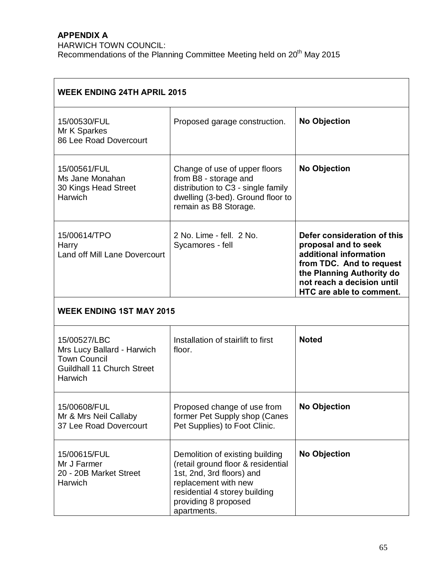## **APPENDIX A**

HARWICH TOWN COUNCIL: Recommendations of the Planning Committee Meeting held on 20<sup>th</sup> May 2015

| <b>WEEK ENDING 24TH APRIL 2015</b>                                                                         |                                                                                                                                                                                                    |                                                                                                                                                                                                  |  |  |  |
|------------------------------------------------------------------------------------------------------------|----------------------------------------------------------------------------------------------------------------------------------------------------------------------------------------------------|--------------------------------------------------------------------------------------------------------------------------------------------------------------------------------------------------|--|--|--|
| 15/00530/FUL<br>Mr K Sparkes<br>86 Lee Road Dovercourt                                                     | Proposed garage construction.                                                                                                                                                                      | <b>No Objection</b>                                                                                                                                                                              |  |  |  |
| 15/00561/FUL<br>Ms Jane Monahan<br>30 Kings Head Street<br>Harwich                                         | Change of use of upper floors<br>from B8 - storage and<br>distribution to C3 - single family<br>dwelling (3-bed). Ground floor to<br>remain as B8 Storage.                                         | <b>No Objection</b>                                                                                                                                                                              |  |  |  |
| 15/00614/TPO<br>Harry<br><b>Land off Mill Lane Dovercourt</b>                                              | 2 No. Lime - fell. 2 No.<br>Sycamores - fell                                                                                                                                                       | Defer consideration of this<br>proposal and to seek<br>additional information<br>from TDC. And to request<br>the Planning Authority do<br>not reach a decision until<br>HTC are able to comment. |  |  |  |
| <b>WEEK ENDING 1ST MAY 2015</b>                                                                            |                                                                                                                                                                                                    |                                                                                                                                                                                                  |  |  |  |
| 15/00527/LBC<br>Mrs Lucy Ballard - Harwich<br><b>Town Council</b><br>Guildhall 11 Church Street<br>Harwich | Installation of stairlift to first<br>floor.                                                                                                                                                       | <b>Noted</b>                                                                                                                                                                                     |  |  |  |
| 15/00608/FUL<br>Mr & Mrs Neil Callaby<br>37 Lee Road Dovercourt                                            | Proposed change of use from<br>former Pet Supply shop (Canes<br>Pet Supplies) to Foot Clinic.                                                                                                      | <b>No Objection</b>                                                                                                                                                                              |  |  |  |
| 15/00615/FUL<br>Mr J Farmer<br>20 - 20B Market Street<br>Harwich                                           | Demolition of existing building<br>(retail ground floor & residential<br>1st, 2nd, 3rd floors) and<br>replacement with new<br>residential 4 storey building<br>providing 8 proposed<br>apartments. | <b>No Objection</b>                                                                                                                                                                              |  |  |  |